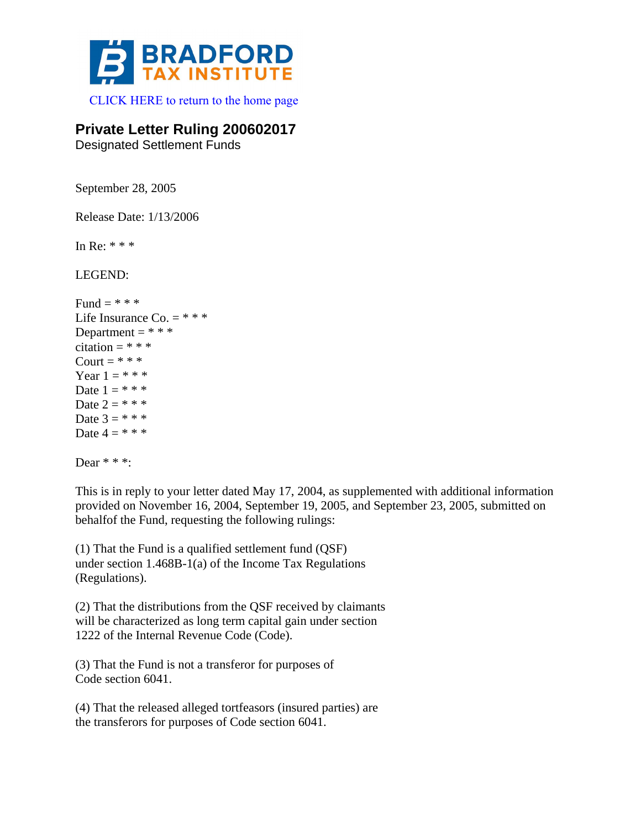

[CLICK HERE to return to the home page](http://bradfordtaxinstitute.com/index1.aspx) 

## **Private Letter Ruling 200602017**

Designated Settlement Funds

September 28, 2005

Release Date: 1/13/2006

In Re: \* \* \*

LEGEND:

```
Fund = ***Life Insurance Co. = * * *
Department = ***citation = * * *
Court = **Year 1 = * * * *Date 1 = * * * *Date 2 = * * * *Date 3 = * * * *Date 4 = * * * *
```
Dear  $**$ :

This is in reply to your letter dated May 17, 2004, as supplemented with additional information provided on November 16, 2004, September 19, 2005, and September 23, 2005, submitted on behalfof the Fund, requesting the following rulings:

(1) That the Fund is a qualified settlement fund (QSF) under section 1.468B-1(a) of the Income Tax Regulations (Regulations).

(2) That the distributions from the QSF received by claimants will be characterized as long term capital gain under section 1222 of the Internal Revenue Code (Code).

(3) That the Fund is not a transferor for purposes of Code section 6041.

(4) That the released alleged tortfeasors (insured parties) are the transferors for purposes of Code section 6041.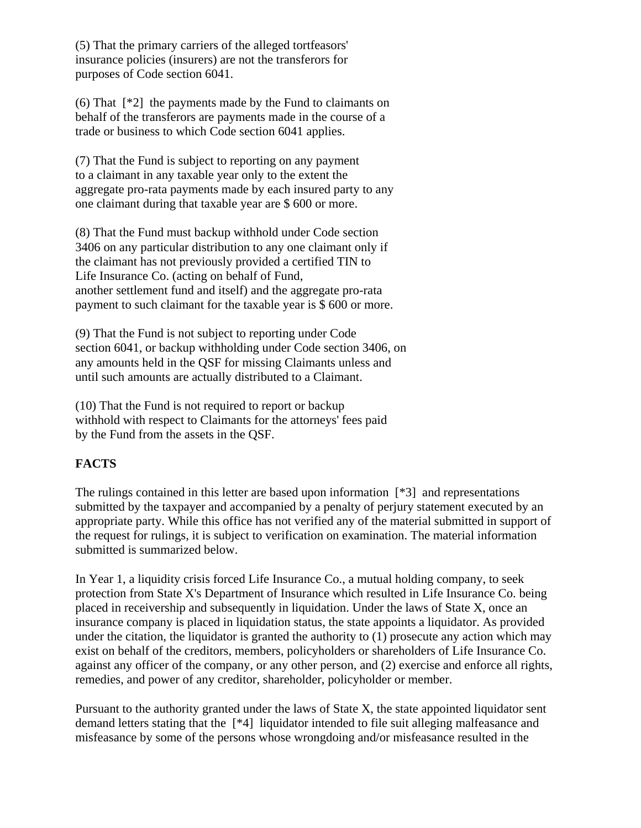(5) That the primary carriers of the alleged tortfeasors' insurance policies (insurers) are not the transferors for purposes of Code section 6041.

(6) That [\*2] the payments made by the Fund to claimants on behalf of the transferors are payments made in the course of a trade or business to which Code section 6041 applies.

(7) That the Fund is subject to reporting on any payment to a claimant in any taxable year only to the extent the aggregate pro-rata payments made by each insured party to any one claimant during that taxable year are \$ 600 or more.

(8) That the Fund must backup withhold under Code section 3406 on any particular distribution to any one claimant only if the claimant has not previously provided a certified TIN to Life Insurance Co. (acting on behalf of Fund, another settlement fund and itself) and the aggregate pro-rata payment to such claimant for the taxable year is \$ 600 or more.

(9) That the Fund is not subject to reporting under Code section 6041, or backup withholding under Code section 3406, on any amounts held in the QSF for missing Claimants unless and until such amounts are actually distributed to a Claimant.

(10) That the Fund is not required to report or backup withhold with respect to Claimants for the attorneys' fees paid by the Fund from the assets in the QSF.

## **FACTS**

The rulings contained in this letter are based upon information  $[*3]$  and representations submitted by the taxpayer and accompanied by a penalty of perjury statement executed by an appropriate party. While this office has not verified any of the material submitted in support of the request for rulings, it is subject to verification on examination. The material information submitted is summarized below.

In Year 1, a liquidity crisis forced Life Insurance Co., a mutual holding company, to seek protection from State X's Department of Insurance which resulted in Life Insurance Co. being placed in receivership and subsequently in liquidation. Under the laws of State X, once an insurance company is placed in liquidation status, the state appoints a liquidator. As provided under the citation, the liquidator is granted the authority to (1) prosecute any action which may exist on behalf of the creditors, members, policyholders or shareholders of Life Insurance Co. against any officer of the company, or any other person, and (2) exercise and enforce all rights, remedies, and power of any creditor, shareholder, policyholder or member.

Pursuant to the authority granted under the laws of State X, the state appointed liquidator sent demand letters stating that the [\*4] liquidator intended to file suit alleging malfeasance and misfeasance by some of the persons whose wrongdoing and/or misfeasance resulted in the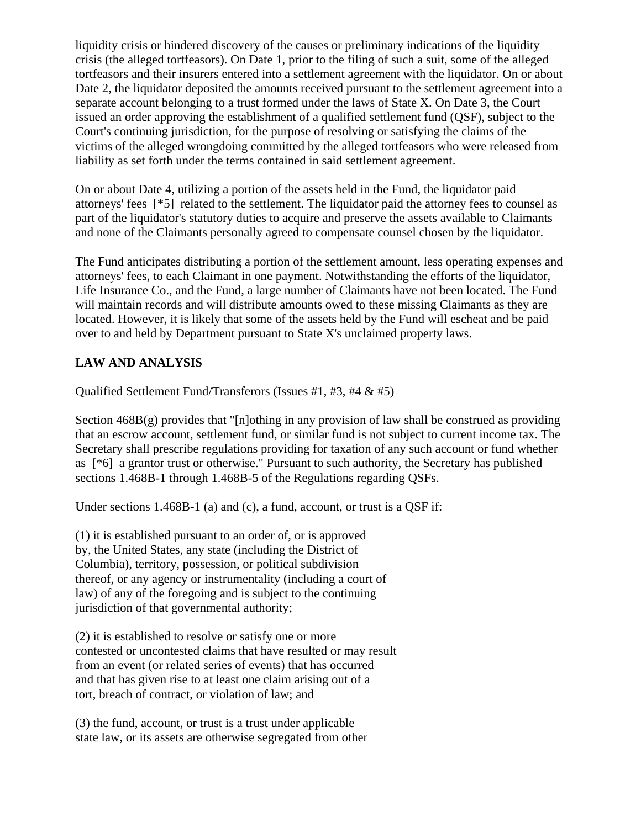liquidity crisis or hindered discovery of the causes or preliminary indications of the liquidity crisis (the alleged tortfeasors). On Date 1, prior to the filing of such a suit, some of the alleged tortfeasors and their insurers entered into a settlement agreement with the liquidator. On or about Date 2, the liquidator deposited the amounts received pursuant to the settlement agreement into a separate account belonging to a trust formed under the laws of State X. On Date 3, the Court issued an order approving the establishment of a qualified settlement fund (QSF), subject to the Court's continuing jurisdiction, for the purpose of resolving or satisfying the claims of the victims of the alleged wrongdoing committed by the alleged tortfeasors who were released from liability as set forth under the terms contained in said settlement agreement.

On or about Date 4, utilizing a portion of the assets held in the Fund, the liquidator paid attorneys' fees [\*5] related to the settlement. The liquidator paid the attorney fees to counsel as part of the liquidator's statutory duties to acquire and preserve the assets available to Claimants and none of the Claimants personally agreed to compensate counsel chosen by the liquidator.

The Fund anticipates distributing a portion of the settlement amount, less operating expenses and attorneys' fees, to each Claimant in one payment. Notwithstanding the efforts of the liquidator, Life Insurance Co., and the Fund, a large number of Claimants have not been located. The Fund will maintain records and will distribute amounts owed to these missing Claimants as they are located. However, it is likely that some of the assets held by the Fund will escheat and be paid over to and held by Department pursuant to State X's unclaimed property laws.

## **LAW AND ANALYSIS**

Qualified Settlement Fund/Transferors (Issues #1, #3, #4 & #5)

Section  $468B(g)$  provides that "[n]othing in any provision of law shall be construed as providing that an escrow account, settlement fund, or similar fund is not subject to current income tax. The Secretary shall prescribe regulations providing for taxation of any such account or fund whether as [\*6] a grantor trust or otherwise." Pursuant to such authority, the Secretary has published sections 1.468B-1 through 1.468B-5 of the Regulations regarding QSFs.

Under sections 1.468B-1 (a) and (c), a fund, account, or trust is a OSF if:

(1) it is established pursuant to an order of, or is approved by, the United States, any state (including the District of Columbia), territory, possession, or political subdivision thereof, or any agency or instrumentality (including a court of law) of any of the foregoing and is subject to the continuing jurisdiction of that governmental authority;

(2) it is established to resolve or satisfy one or more contested or uncontested claims that have resulted or may result from an event (or related series of events) that has occurred and that has given rise to at least one claim arising out of a tort, breach of contract, or violation of law; and

(3) the fund, account, or trust is a trust under applicable state law, or its assets are otherwise segregated from other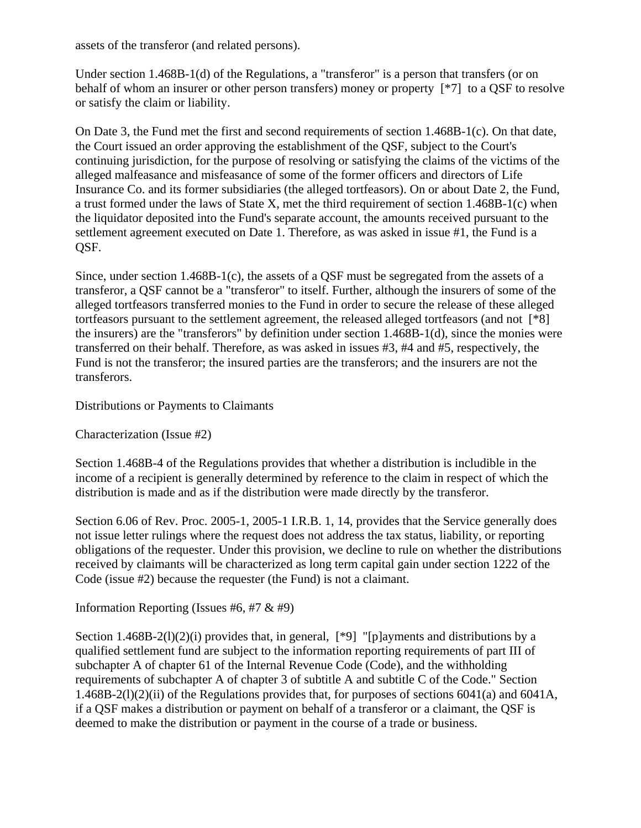assets of the transferor (and related persons).

Under section 1.468B-1(d) of the Regulations, a "transferor" is a person that transfers (or on behalf of whom an insurer or other person transfers) money or property [\*7] to a QSF to resolve or satisfy the claim or liability.

On Date 3, the Fund met the first and second requirements of section 1.468B-1(c). On that date, the Court issued an order approving the establishment of the QSF, subject to the Court's continuing jurisdiction, for the purpose of resolving or satisfying the claims of the victims of the alleged malfeasance and misfeasance of some of the former officers and directors of Life Insurance Co. and its former subsidiaries (the alleged tortfeasors). On or about Date 2, the Fund, a trust formed under the laws of State X, met the third requirement of section 1.468B-1(c) when the liquidator deposited into the Fund's separate account, the amounts received pursuant to the settlement agreement executed on Date 1. Therefore, as was asked in issue #1, the Fund is a QSF.

Since, under section 1.468B-1(c), the assets of a QSF must be segregated from the assets of a transferor, a QSF cannot be a "transferor" to itself. Further, although the insurers of some of the alleged tortfeasors transferred monies to the Fund in order to secure the release of these alleged tortfeasors pursuant to the settlement agreement, the released alleged tortfeasors (and not [\*8] the insurers) are the "transferors" by definition under section 1.468B-1(d), since the monies were transferred on their behalf. Therefore, as was asked in issues #3, #4 and #5, respectively, the Fund is not the transferor; the insured parties are the transferors; and the insurers are not the transferors.

Distributions or Payments to Claimants

Characterization (Issue #2)

Section 1.468B-4 of the Regulations provides that whether a distribution is includible in the income of a recipient is generally determined by reference to the claim in respect of which the distribution is made and as if the distribution were made directly by the transferor.

Section 6.06 of Rev. Proc. 2005-1, 2005-1 I.R.B. 1, 14, provides that the Service generally does not issue letter rulings where the request does not address the tax status, liability, or reporting obligations of the requester. Under this provision, we decline to rule on whether the distributions received by claimants will be characterized as long term capital gain under section 1222 of the Code (issue #2) because the requester (the Fund) is not a claimant.

Information Reporting (Issues #6, #7 & #9)

Section  $1.468B-2(1)(2)(i)$  provides that, in general, [\*9] "[p]ayments and distributions by a qualified settlement fund are subject to the information reporting requirements of part III of subchapter A of chapter 61 of the Internal Revenue Code (Code), and the withholding requirements of subchapter A of chapter 3 of subtitle A and subtitle C of the Code." Section 1.468B-2(l)(2)(ii) of the Regulations provides that, for purposes of sections 6041(a) and 6041A, if a QSF makes a distribution or payment on behalf of a transferor or a claimant, the QSF is deemed to make the distribution or payment in the course of a trade or business.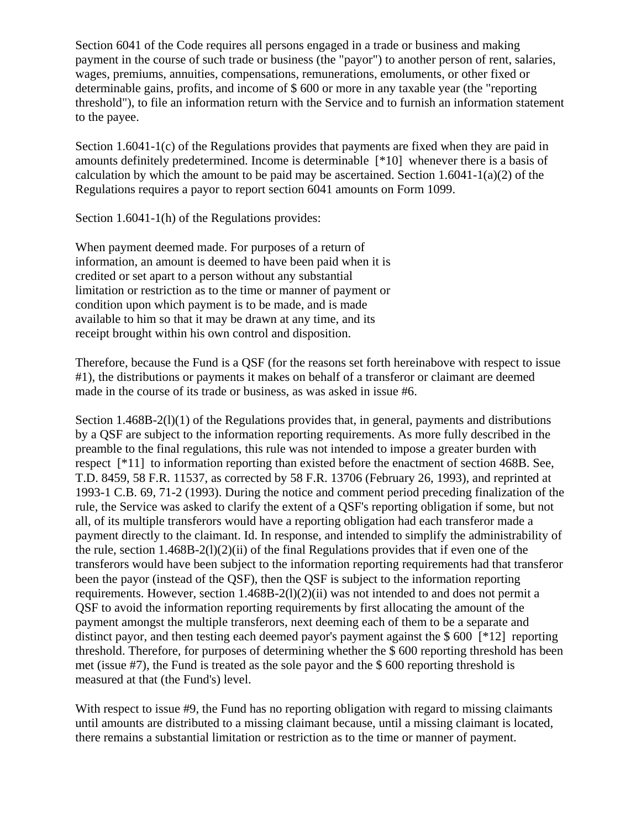Section 6041 of the Code requires all persons engaged in a trade or business and making payment in the course of such trade or business (the "payor") to another person of rent, salaries, wages, premiums, annuities, compensations, remunerations, emoluments, or other fixed or determinable gains, profits, and income of \$ 600 or more in any taxable year (the "reporting threshold"), to file an information return with the Service and to furnish an information statement to the payee.

Section 1.6041-1(c) of the Regulations provides that payments are fixed when they are paid in amounts definitely predetermined. Income is determinable [\*10] whenever there is a basis of calculation by which the amount to be paid may be ascertained. Section  $1.6041 - 1(a)(2)$  of the Regulations requires a payor to report section 6041 amounts on Form 1099.

Section 1.6041-1(h) of the Regulations provides:

When payment deemed made. For purposes of a return of information, an amount is deemed to have been paid when it is credited or set apart to a person without any substantial limitation or restriction as to the time or manner of payment or condition upon which payment is to be made, and is made available to him so that it may be drawn at any time, and its receipt brought within his own control and disposition.

Therefore, because the Fund is a QSF (for the reasons set forth hereinabove with respect to issue #1), the distributions or payments it makes on behalf of a transferor or claimant are deemed made in the course of its trade or business, as was asked in issue #6.

Section 1.468B-2(1)(1) of the Regulations provides that, in general, payments and distributions by a QSF are subject to the information reporting requirements. As more fully described in the preamble to the final regulations, this rule was not intended to impose a greater burden with respect [\*11] to information reporting than existed before the enactment of section 468B. See, T.D. 8459, 58 F.R. 11537, as corrected by 58 F.R. 13706 (February 26, 1993), and reprinted at 1993-1 C.B. 69, 71-2 (1993). During the notice and comment period preceding finalization of the rule, the Service was asked to clarify the extent of a QSF's reporting obligation if some, but not all, of its multiple transferors would have a reporting obligation had each transferor made a payment directly to the claimant. Id. In response, and intended to simplify the administrability of the rule, section 1.468B-2(l)(2)(ii) of the final Regulations provides that if even one of the transferors would have been subject to the information reporting requirements had that transferor been the payor (instead of the QSF), then the QSF is subject to the information reporting requirements. However, section  $1.468B-2(1)(2)(ii)$  was not intended to and does not permit a QSF to avoid the information reporting requirements by first allocating the amount of the payment amongst the multiple transferors, next deeming each of them to be a separate and distinct payor, and then testing each deemed payor's payment against the  $$600$  [ $*12$ ] reporting threshold. Therefore, for purposes of determining whether the \$ 600 reporting threshold has been met (issue #7), the Fund is treated as the sole payor and the \$ 600 reporting threshold is measured at that (the Fund's) level.

With respect to issue #9, the Fund has no reporting obligation with regard to missing claimants until amounts are distributed to a missing claimant because, until a missing claimant is located, there remains a substantial limitation or restriction as to the time or manner of payment.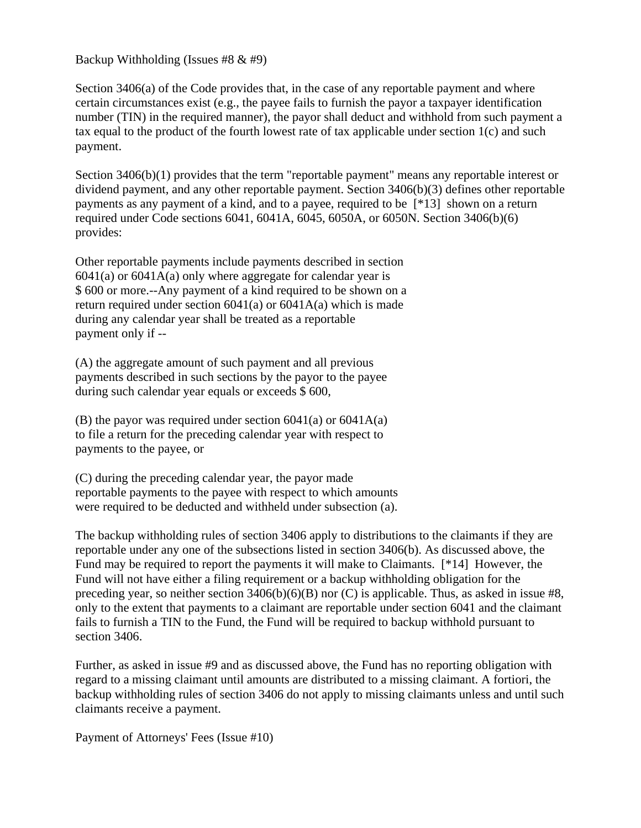Backup Withholding (Issues #8 & #9)

Section 3406(a) of the Code provides that, in the case of any reportable payment and where certain circumstances exist (e.g., the payee fails to furnish the payor a taxpayer identification number (TIN) in the required manner), the payor shall deduct and withhold from such payment a tax equal to the product of the fourth lowest rate of tax applicable under section 1(c) and such payment.

Section 3406(b)(1) provides that the term "reportable payment" means any reportable interest or dividend payment, and any other reportable payment. Section 3406(b)(3) defines other reportable payments as any payment of a kind, and to a payee, required to be [\*13] shown on a return required under Code sections 6041, 6041A, 6045, 6050A, or 6050N. Section 3406(b)(6) provides:

Other reportable payments include payments described in section  $6041(a)$  or  $6041A(a)$  only where aggregate for calendar year is \$ 600 or more.--Any payment of a kind required to be shown on a return required under section  $6041(a)$  or  $6041A(a)$  which is made during any calendar year shall be treated as a reportable payment only if --

(A) the aggregate amount of such payment and all previous payments described in such sections by the payor to the payee during such calendar year equals or exceeds \$ 600,

(B) the payor was required under section  $6041(a)$  or  $6041A(a)$ to file a return for the preceding calendar year with respect to payments to the payee, or

(C) during the preceding calendar year, the payor made reportable payments to the payee with respect to which amounts were required to be deducted and withheld under subsection (a).

The backup withholding rules of section 3406 apply to distributions to the claimants if they are reportable under any one of the subsections listed in section 3406(b). As discussed above, the Fund may be required to report the payments it will make to Claimants. [\*14] However, the Fund will not have either a filing requirement or a backup withholding obligation for the preceding year, so neither section 3406(b)(6)(B) nor (C) is applicable. Thus, as asked in issue #8, only to the extent that payments to a claimant are reportable under section 6041 and the claimant fails to furnish a TIN to the Fund, the Fund will be required to backup withhold pursuant to section 3406.

Further, as asked in issue #9 and as discussed above, the Fund has no reporting obligation with regard to a missing claimant until amounts are distributed to a missing claimant. A fortiori, the backup withholding rules of section 3406 do not apply to missing claimants unless and until such claimants receive a payment.

Payment of Attorneys' Fees (Issue #10)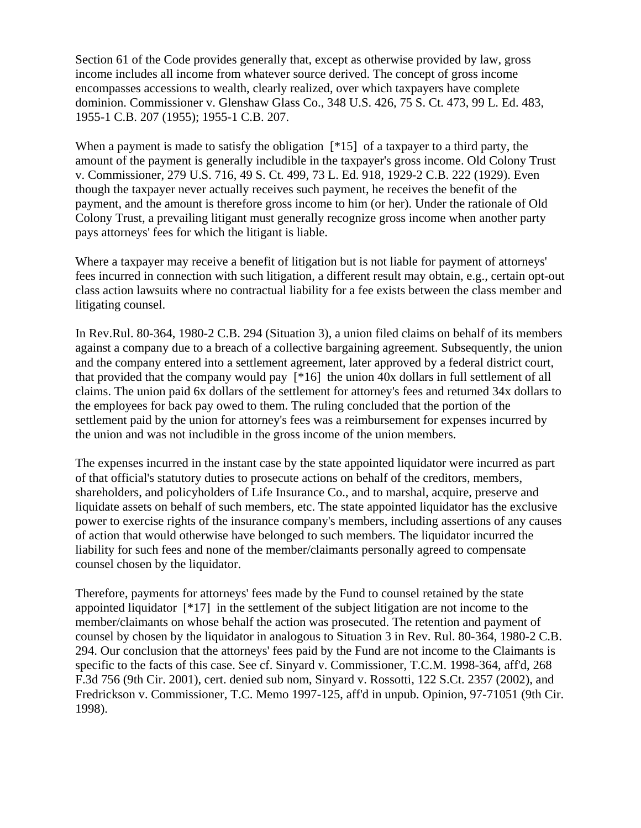Section 61 of the Code provides generally that, except as otherwise provided by law, gross income includes all income from whatever source derived. The concept of gross income encompasses accessions to wealth, clearly realized, over which taxpayers have complete dominion. Commissioner v. Glenshaw Glass Co., 348 U.S. 426, 75 S. Ct. 473, 99 L. Ed. 483, 1955-1 C.B. 207 (1955); 1955-1 C.B. 207.

When a payment is made to satisfy the obligation  $[^*15]$  of a taxpayer to a third party, the amount of the payment is generally includible in the taxpayer's gross income. Old Colony Trust v. Commissioner, 279 U.S. 716, 49 S. Ct. 499, 73 L. Ed. 918, 1929-2 C.B. 222 (1929). Even though the taxpayer never actually receives such payment, he receives the benefit of the payment, and the amount is therefore gross income to him (or her). Under the rationale of Old Colony Trust, a prevailing litigant must generally recognize gross income when another party pays attorneys' fees for which the litigant is liable.

Where a taxpayer may receive a benefit of litigation but is not liable for payment of attorneys' fees incurred in connection with such litigation, a different result may obtain, e.g., certain opt-out class action lawsuits where no contractual liability for a fee exists between the class member and litigating counsel.

In Rev.Rul. 80-364, 1980-2 C.B. 294 (Situation 3), a union filed claims on behalf of its members against a company due to a breach of a collective bargaining agreement. Subsequently, the union and the company entered into a settlement agreement, later approved by a federal district court, that provided that the company would pay [\*16] the union 40x dollars in full settlement of all claims. The union paid 6x dollars of the settlement for attorney's fees and returned 34x dollars to the employees for back pay owed to them. The ruling concluded that the portion of the settlement paid by the union for attorney's fees was a reimbursement for expenses incurred by the union and was not includible in the gross income of the union members.

The expenses incurred in the instant case by the state appointed liquidator were incurred as part of that official's statutory duties to prosecute actions on behalf of the creditors, members, shareholders, and policyholders of Life Insurance Co., and to marshal, acquire, preserve and liquidate assets on behalf of such members, etc. The state appointed liquidator has the exclusive power to exercise rights of the insurance company's members, including assertions of any causes of action that would otherwise have belonged to such members. The liquidator incurred the liability for such fees and none of the member/claimants personally agreed to compensate counsel chosen by the liquidator.

Therefore, payments for attorneys' fees made by the Fund to counsel retained by the state appointed liquidator [\*17] in the settlement of the subject litigation are not income to the member/claimants on whose behalf the action was prosecuted. The retention and payment of counsel by chosen by the liquidator in analogous to Situation 3 in Rev. Rul. 80-364, 1980-2 C.B. 294. Our conclusion that the attorneys' fees paid by the Fund are not income to the Claimants is specific to the facts of this case. See cf. Sinyard v. Commissioner, T.C.M. 1998-364, aff'd, 268 F.3d 756 (9th Cir. 2001), cert. denied sub nom, Sinyard v. Rossotti, 122 S.Ct. 2357 (2002), and Fredrickson v. Commissioner, T.C. Memo 1997-125, aff'd in unpub. Opinion, 97-71051 (9th Cir. 1998).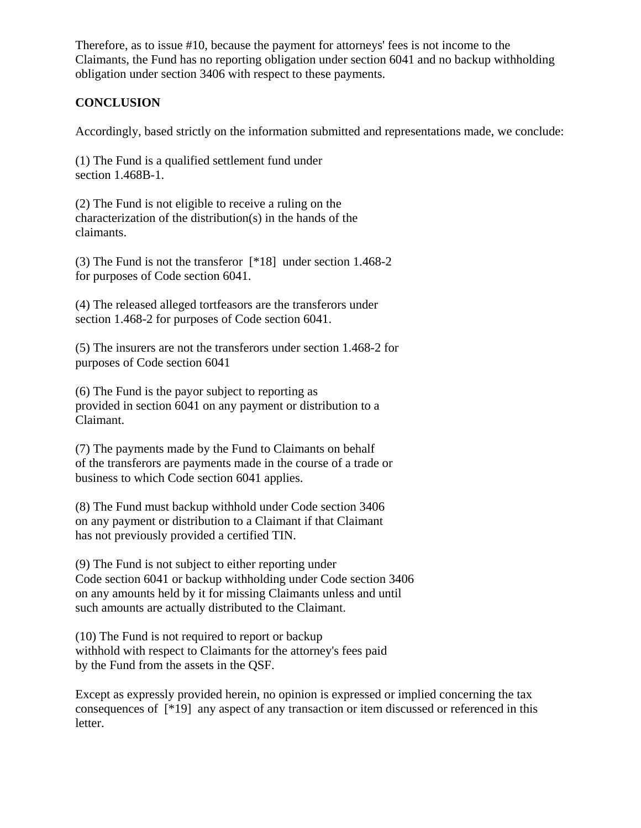Therefore, as to issue #10, because the payment for attorneys' fees is not income to the Claimants, the Fund has no reporting obligation under section 6041 and no backup withholding obligation under section 3406 with respect to these payments.

## **CONCLUSION**

Accordingly, based strictly on the information submitted and representations made, we conclude:

(1) The Fund is a qualified settlement fund under section 1.468B-1.

(2) The Fund is not eligible to receive a ruling on the characterization of the distribution(s) in the hands of the claimants.

(3) The Fund is not the transferor [\*18] under section 1.468-2 for purposes of Code section 6041.

(4) The released alleged tortfeasors are the transferors under section 1.468-2 for purposes of Code section 6041.

(5) The insurers are not the transferors under section 1.468-2 for purposes of Code section 6041

(6) The Fund is the payor subject to reporting as provided in section 6041 on any payment or distribution to a Claimant.

(7) The payments made by the Fund to Claimants on behalf of the transferors are payments made in the course of a trade or business to which Code section 6041 applies.

(8) The Fund must backup withhold under Code section 3406 on any payment or distribution to a Claimant if that Claimant has not previously provided a certified TIN.

(9) The Fund is not subject to either reporting under Code section 6041 or backup withholding under Code section 3406 on any amounts held by it for missing Claimants unless and until such amounts are actually distributed to the Claimant.

(10) The Fund is not required to report or backup withhold with respect to Claimants for the attorney's fees paid by the Fund from the assets in the QSF.

Except as expressly provided herein, no opinion is expressed or implied concerning the tax consequences of [\*19] any aspect of any transaction or item discussed or referenced in this letter.